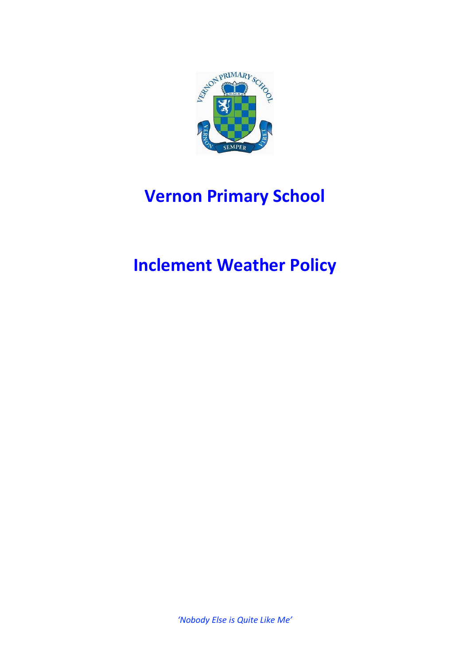

# **Vernon Primary School**

## **Inclement Weather Policy**

*'Nobody Else is Quite Like Me'*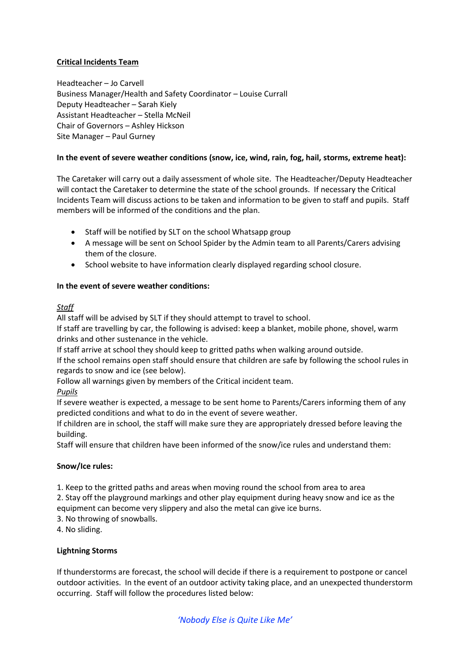## **Critical Incidents Team**

Headteacher – Jo Carvell Business Manager/Health and Safety Coordinator – Louise Currall Deputy Headteacher – Sarah Kiely Assistant Headteacher – Stella McNeil Chair of Governors – Ashley Hickson Site Manager – Paul Gurney

## **In the event of severe weather conditions (snow, ice, wind, rain, fog, hail, storms, extreme heat):**

The Caretaker will carry out a daily assessment of whole site. The Headteacher/Deputy Headteacher will contact the Caretaker to determine the state of the school grounds. If necessary the Critical Incidents Team will discuss actions to be taken and information to be given to staff and pupils. Staff members will be informed of the conditions and the plan.

- Staff will be notified by SLT on the school Whatsapp group
- A message will be sent on School Spider by the Admin team to all Parents/Carers advising them of the closure.
- School website to have information clearly displayed regarding school closure.

## **In the event of severe weather conditions:**

#### *Staff*

All staff will be advised by SLT if they should attempt to travel to school.

If staff are travelling by car, the following is advised: keep a blanket, mobile phone, shovel, warm drinks and other sustenance in the vehicle.

If staff arrive at school they should keep to gritted paths when walking around outside.

If the school remains open staff should ensure that children are safe by following the school rules in regards to snow and ice (see below).

Follow all warnings given by members of the Critical incident team.

*Pupils*

If severe weather is expected, a message to be sent home to Parents/Carers informing them of any predicted conditions and what to do in the event of severe weather.

If children are in school, the staff will make sure they are appropriately dressed before leaving the building.

Staff will ensure that children have been informed of the snow/ice rules and understand them:

## **Snow/Ice rules:**

1. Keep to the gritted paths and areas when moving round the school from area to area

2. Stay off the playground markings and other play equipment during heavy snow and ice as the equipment can become very slippery and also the metal can give ice burns.

3. No throwing of snowballs.

4. No sliding.

## **Lightning Storms**

If thunderstorms are forecast, the school will decide if there is a requirement to postpone or cancel outdoor activities. In the event of an outdoor activity taking place, and an unexpected thunderstorm occurring. Staff will follow the procedures listed below:

## *'Nobody Else is Quite Like Me'*